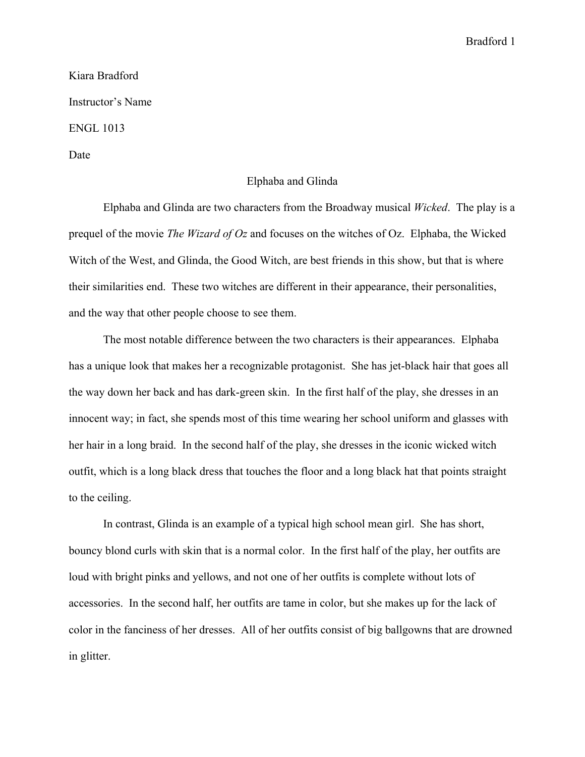## Bradford 1

Kiara Bradford Instructor's Name ENGL 1013 Date

## Elphaba and Glinda

Elphaba and Glinda are two characters from the Broadway musical *Wicked*. The play is a prequel of the movie *The Wizard of Oz* and focuses on the witches of Oz. Elphaba, the Wicked Witch of the West, and Glinda, the Good Witch, are best friends in this show, but that is where their similarities end. These two witches are different in their appearance, their personalities, and the way that other people choose to see them.

The most notable difference between the two characters is their appearances. Elphaba has a unique look that makes her a recognizable protagonist. She has jet-black hair that goes all the way down her back and has dark-green skin. In the first half of the play, she dresses in an innocent way; in fact, she spends most of this time wearing her school uniform and glasses with her hair in a long braid. In the second half of the play, she dresses in the iconic wicked witch outfit, which is a long black dress that touches the floor and a long black hat that points straight to the ceiling.

In contrast, Glinda is an example of a typical high school mean girl. She has short, bouncy blond curls with skin that is a normal color. In the first half of the play, her outfits are loud with bright pinks and yellows, and not one of her outfits is complete without lots of accessories. In the second half, her outfits are tame in color, but she makes up for the lack of color in the fanciness of her dresses. All of her outfits consist of big ballgowns that are drowned in glitter.